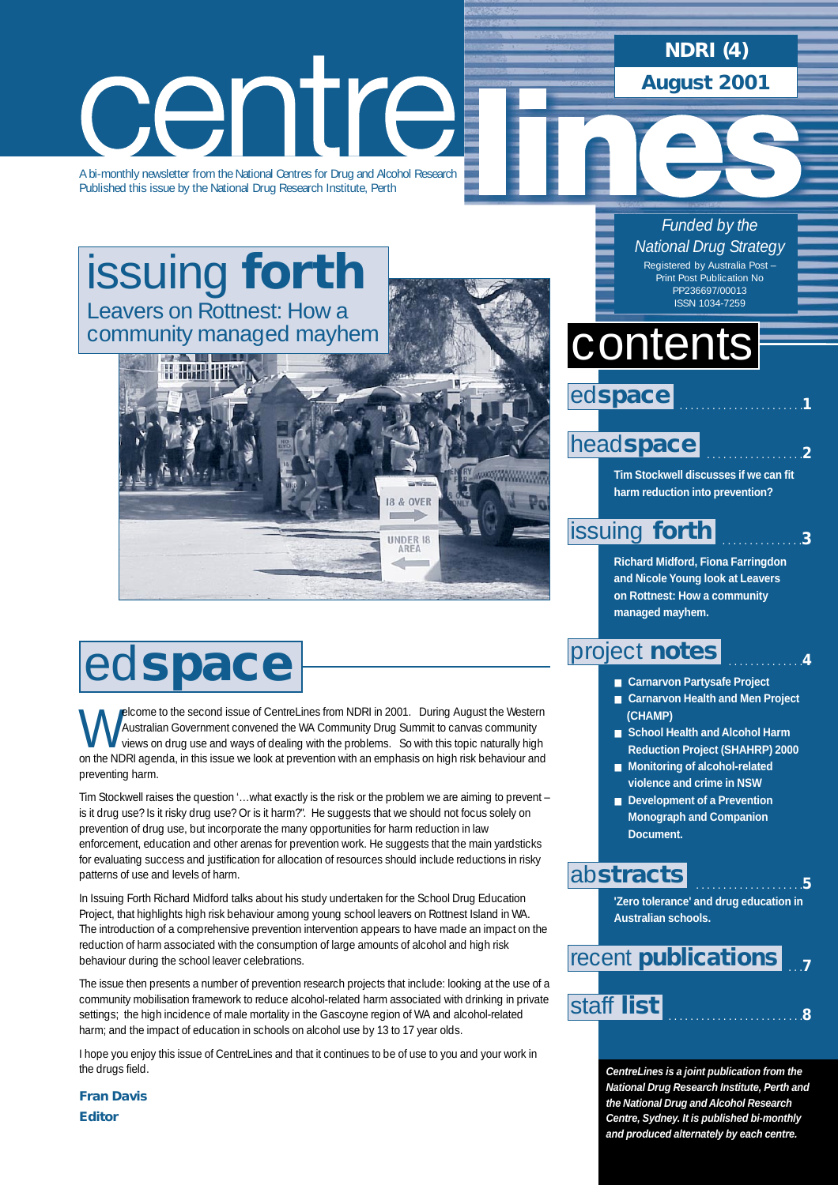**NDRI (4)**

**August 2001**

*Funded by the National Drug Strategy* Registered by Australia Post Print Post Publication No PP236697/00013

centre

A bi-monthly newsletter from the National Centres for Drug and Alcohol Research Published this issue by the National Drug Research Institute, Perth

[issuing](#page-2-0) **forth** Leavers on Rottnest: How a community managed mayhem



# ed**space**

Welcome to the second issue of CentreLines from NDRI in 2001. During August the Western<br>Australian Government convened the WA Community Drug Summit to canvas community<br>views on drug use and ways of dealing with the problem Australian Government convened the WA Community Drug Summit to canvas community on the NDRI agenda, in this issue we look at prevention with an emphasis on high risk behaviour and preventing harm.

Tim Stockwell raises the question '…what exactly is the risk or the problem we are aiming to prevent – is it drug use? Is it risky drug use? Or is it harm?". He suggests that we should not focus solely on prevention of drug use, but incorporate the many opportunities for harm reduction in law enforcement, education and other arenas for prevention work. He suggests that the main yardsticks for evaluating success and justification for allocation of resources should include reductions in risky patterns of use and levels of harm.

In Issuing Forth Richard Midford talks about his study undertaken for the School Drug Education Project, that highlights high risk behaviour among young school leavers on Rottnest Island in WA. The introduction of a comprehensive prevention intervention appears to have made an impact on the reduction of harm associated with the consumption of large amounts of alcohol and high risk behaviour during the school leaver celebrations.

The issue then presents a number of prevention research projects that include: looking at the use of a community mobilisation framework to reduce alcohol-related harm associated with drinking in private settings; the high incidence of male mortality in the Gascoyne region of WA and alcohol-related harm; and the impact of education in schools on alcohol use by 13 to 17 year olds.

I hope you enjoy this issue of CentreLines and that it continues to be of use to you and your work in the drugs field.

*Fran Davis Editor*

# contents ISSN 1034-7259



## head**[space](#page-1-0)**

**Tim Stockwell discusses if we can fit harm reduction into prevention?**

. . . . . . . . . . . . . . . . . .**2**

. . . . . . . . . . . . . . .**3**

. . . . . . . . . . . . . .**4**

## [issuing](#page-2-0) **forth**

**Richard Midford, Fiona Farringdon and Nicole Young look at Leavers on Rottnest: How a community managed mayhem.**

## [project](#page-4-0) **notes**

- **Carnarvon Partysafe Project**
- **Carnarvon Health and Men Project (CHAMP)**
- **School Health and Alcohol Harm Reduction Project (SHAHRP) 2000**
- **Monitoring of alcohol-related violence and crime in NSW**
- **Development of a Prevention Monograph and Companion Document.**

## ab**[stracts](#page-5-0)**

 . . . . . . . . . . . . . . . . . . . .**5 'Zero tolerance' and drug education in Australian schools.** 

|            | recent <b>publications</b> |  |
|------------|----------------------------|--|
|            |                            |  |
| staff list |                            |  |

**CentreLines is a joint publication from the National Drug Research Institute, Perth and the National Drug and Alcohol Research Centre, Sydney. It is published bi-monthly and produced alternately by each centre.**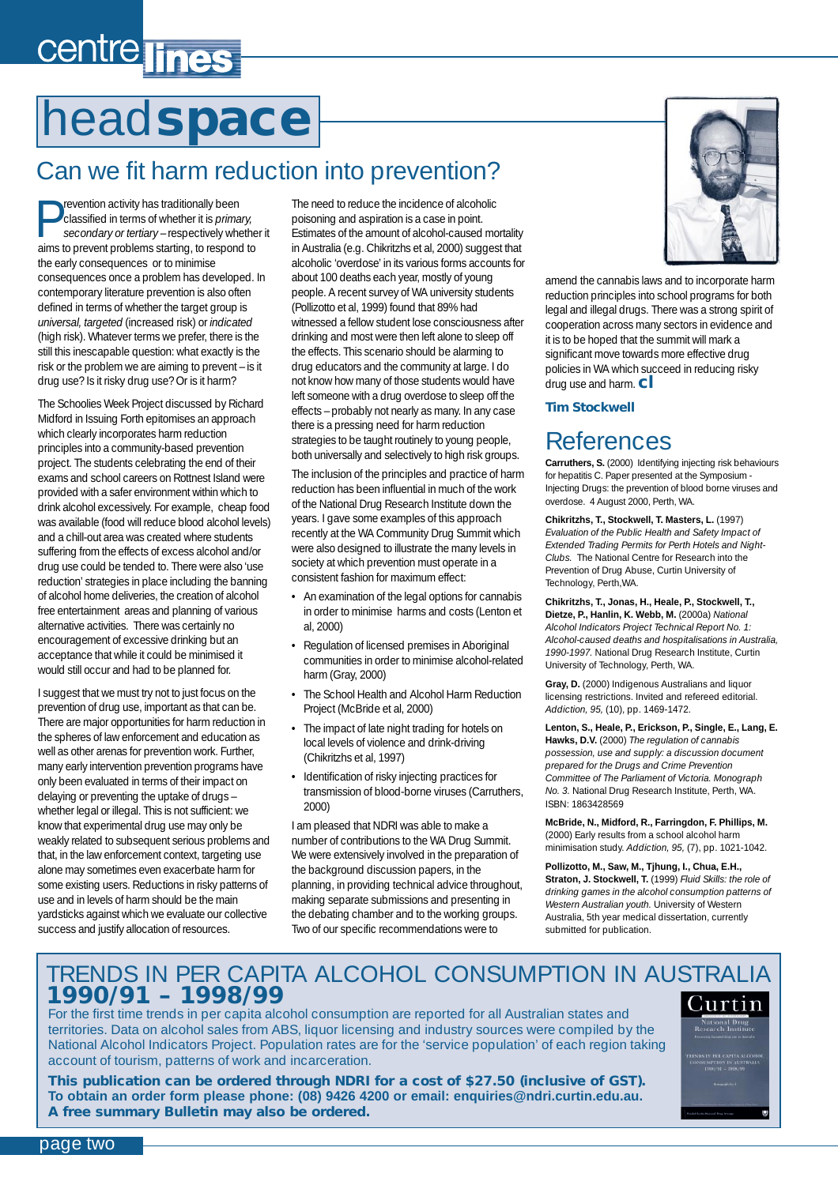# <span id="page-1-0"></span>centre lines

# head**space**

## Can we fit harm reduction into prevention?

Prevention activity has traditionally been<br>secondary or tertiary – respectively wh<br>aims to arguest architecture to respect classified in terms of whether it is *primary, secondary or tertiary* – respectively whether it aims to prevent problems starting, to respond to the early consequences or to minimise consequences once a problem has developed. In contemporary literature prevention is also often defined in terms of whether the target group is *universal, targeted* (increased risk) or *indicated* (high risk). Whatever terms we prefer, there is the still this inescapable question: what exactly is the risk or the problem we are aiming to prevent – is it drug use? Is it risky drug use? Or is it harm?

The Schoolies Week Project discussed by Richard Midford in Issuing Forth epitomises an approach which clearly incorporates harm reduction principles into a community-based prevention project. The students celebrating the end of their exams and school careers on Rottnest Island were provided with a safer environment within which to drink alcohol excessively. For example, cheap food was available (food will reduce blood alcohol levels) and a chill-out area was created where students suffering from the effects of excess alcohol and/or drug use could be tended to. There were also 'use reduction' strategies in place including the banning of alcohol home deliveries, the creation of alcohol free entertainment areas and planning of various alternative activities. There was certainly no encouragement of excessive drinking but an acceptance that while it could be minimised it would still occur and had to be planned for.

I suggest that we must try not to just focus on the prevention of drug use, important as that can be. There are major opportunities for harm reduction in the spheres of law enforcement and education as well as other arenas for prevention work. Further, many early intervention prevention programs have only been evaluated in terms of their impact on delaying or preventing the uptake of drugs – whether legal or illegal. This is not sufficient: we know that experimental drug use may only be weakly related to subsequent serious problems and that, in the law enforcement context, targeting use alone may sometimes even exacerbate harm for some existing users. Reductions in risky patterns of use and in levels of harm should be the main yardsticks against which we evaluate our collective success and justify allocation of resources.

The need to reduce the incidence of alcoholic poisoning and aspiration is a case in point. Estimates of the amount of alcohol-caused mortality in Australia (e.g. Chikritzhs et al, 2000) suggest that alcoholic 'overdose' in its various forms accounts for about 100 deaths each year, mostly of young people. A recent survey of WA university students (Pollizotto et al, 1999) found that 89% had witnessed a fellow student lose consciousness after drinking and most were then left alone to sleep off the effects. This scenario should be alarming to drug educators and the community at large. I do not know how many of those students would have left someone with a drug overdose to sleep off the effects – probably not nearly as many. In any case there is a pressing need for harm reduction strategies to be taught routinely to young people, both universally and selectively to high risk groups.

The inclusion of the principles and practice of harm reduction has been influential in much of the work of the National Drug Research Institute down the years. I gave some examples of this approach recently at the WA Community Drug Summit which were also designed to illustrate the many levels in society at which prevention must operate in a consistent fashion for maximum effect:

- An examination of the legal options for cannabis in order to minimise harms and costs (Lenton et al, 2000)
- Regulation of licensed premises in Aboriginal communities in order to minimise alcohol-related harm (Gray, 2000)
- The School Health and Alcohol Harm Reduction Project (McBride et al, 2000)
- The impact of late night trading for hotels on local levels of violence and drink-driving (Chikritzhs et al, 1997)
- Identification of risky injecting practices for transmission of blood-borne viruses (Carruthers, 2000)

I am pleased that NDRI was able to make a number of contributions to the WA Drug Summit. We were extensively involved in the preparation of the background discussion papers, in the planning, in providing technical advice throughout, making separate submissions and presenting in the debating chamber and to the working groups. Two of our specific recommendations were to



amend the cannabis laws and to incorporate harm reduction principles into school programs for both legal and illegal drugs. There was a strong spirit of cooperation across many sectors in evidence and it is to be hoped that the summit will mark a significant move towards more effective drug policies in WA which succeed in reducing risky drug use and harm.**cl**

### *Tim Stockwell*

## References

**Carruthers, S.** (2000) Identifying injecting risk behaviours for hepatitis C. Paper presented at the Symposium - Injecting Drugs: the prevention of blood borne viruses and overdose. 4 August 2000, Perth, WA.

**Chikritzhs, T., Stockwell, T. Masters, L.** (1997) *Evaluation of the Public Health and Safety Impact of Extended Trading Permits for Perth Hotels and Night-Clubs.* The National Centre for Research into the Prevention of Drug Abuse, Curtin University of Technology, Perth,WA.

**Chikritzhs, T., Jonas, H., Heale, P., Stockwell, T., Dietze, P., Hanlin, K. Webb, M.** (2000a) *National Alcohol Indicators Project Technical Report No. 1: Alcohol-caused deaths and hospitalisations in Australia, 1990-1997.* National Drug Research Institute, Curtin University of Technology, Perth, WA.

**Gray, D.** (2000) Indigenous Australians and liquor licensing restrictions. Invited and refereed editorial. *Addiction, 95,* (10), pp. 1469-1472.

**Lenton, S., Heale, P., Erickson, P., Single, E., Lang, E. Hawks, D.V.** (2000) *The regulation of cannabis possession, use and supply: a discussion document prepared for the Drugs and Crime Prevention Committee of The Parliament of Victoria. Monograph No. 3.* National Drug Research Institute, Perth, WA. ISBN: 1863428569

**McBride, N., Midford, R., Farringdon, F. Phillips, M.** (2000) Early results from a school alcohol harm minimisation study. *Addiction, 95,* (7), pp. 1021-1042.

**Pollizotto, M., Saw, M., Tjhung, I., Chua, E.H., Straton, J. Stockwell, T.** (1999) *Fluid Skills: the role of drinking games in the alcohol consumption patterns of Western Australian youth.* University of Western Australia, 5th year medical dissertation, currently submitted for publication.

## TRENDS IN PER CAPITA ALCOHOL CONSUMPTION IN AUSTRALIA **1990/91 – 1998/99**

For the first time trends in per capita alcohol consumption are reported for all Australian states and territories. Data on alcohol sales from ABS, liquor licensing and industry sources were compiled by the National Alcohol Indicators Project. Population rates are for the 'service population' of each region taking account of tourism, patterns of work and incarceration.

**This publication can be ordered through NDRI for a cost of \$27.50 (inclusive of GST). To obtain an order form please phone: (08) 9426 4200 or email: [enquiries@ndri.curtin.edu.au.](mailto:enquires@ndri.curtin.edu.au) A free summary Bulletin may also be ordered.**



page two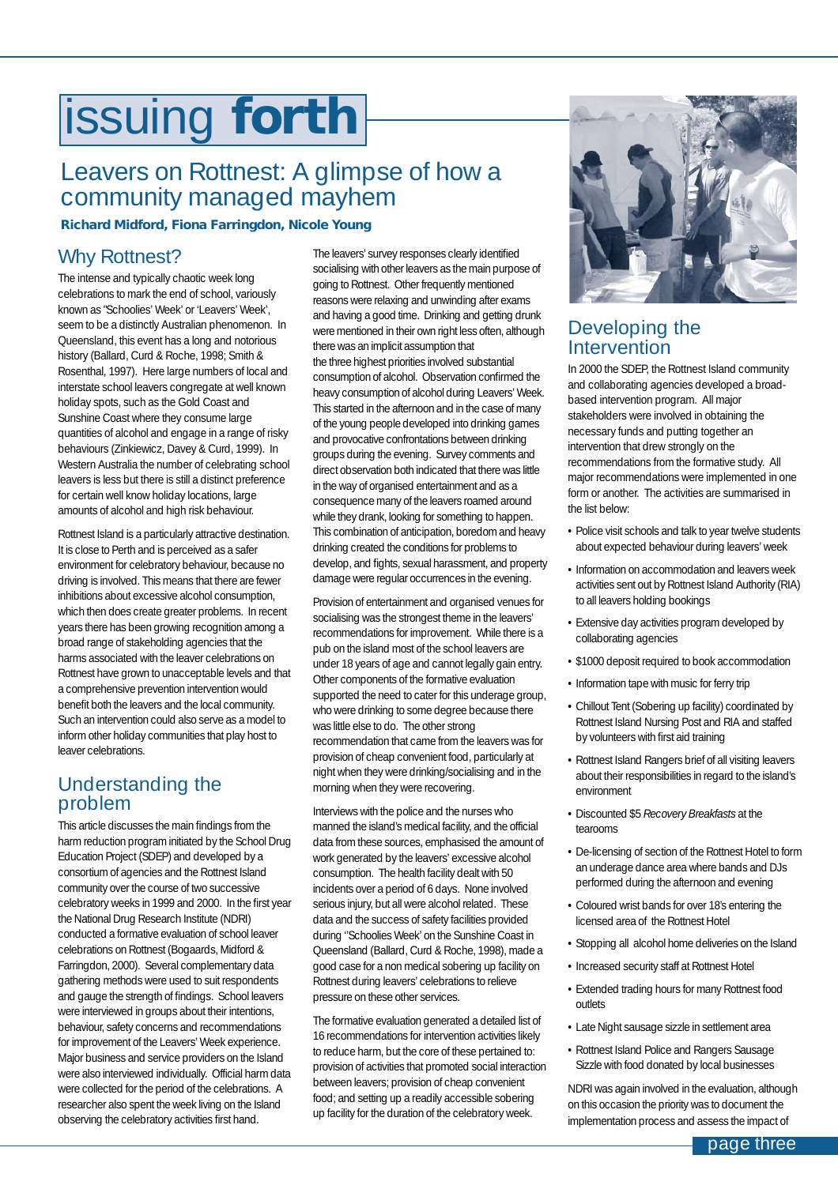# <span id="page-2-0"></span>issuing **forth**

## Leavers on Rottnest: A glimpse of how a community managed mayhem

### *Richard Midford, Fiona Farringdon, Nicole Young*

### Why Rottnest?

The intense and typically chaotic week long celebrations to mark the end of school, variously known as "Schoolies' Week' or 'Leavers' Week', seem to be a distinctly Australian phenomenon. In Queensland, this event has a long and notorious history (Ballard, Curd & Roche, 1998; Smith & Rosenthal, 1997). Here large numbers of local and interstate school leavers congregate at well known holiday spots, such as the Gold Coast and Sunshine Coast where they consume large quantities of alcohol and engage in a range of risky behaviours (Zinkiewicz, Davey & Curd, 1999). In Western Australia the number of celebrating school leavers is less but there is still a distinct preference for certain well know holiday locations, large amounts of alcohol and high risk behaviour.

Rottnest Island is a particularly attractive destination. It is close to Perth and is perceived as a safer environment for celebratory behaviour, because no driving is involved. This means that there are fewer inhibitions about excessive alcohol consumption, which then does create greater problems. In recent years there has been growing recognition among a broad range of stakeholding agencies that the harms associated with the leaver celebrations on Rottnest have grown to unacceptable levels and that a comprehensive prevention intervention would benefit both the leavers and the local community. Such an intervention could also serve as a model to inform other holiday communities that play host to leaver celebrations.

### Understanding the problem

This article discusses the main findings from the harm reduction program initiated by the School Drug Education Project (SDEP) and developed by a consortium of agencies and the Rottnest Island community over the course of two successive celebratory weeks in 1999 and 2000. In the first year the National Drug Research Institute (NDRI) conducted a formative evaluation of school leaver celebrations on Rottnest (Bogaards, Midford & Farringdon, 2000). Several complementary data gathering methods were used to suit respondents and gauge the strength of findings. School leavers were interviewed in groups about their intentions, behaviour, safety concerns and recommendations for improvement of the Leavers' Week experience. Major business and service providers on the Island were also interviewed individually. Official harm data were collected for the period of the celebrations. A researcher also spent the week living on the Island observing the celebratory activities first hand.

The leavers' survey responses clearly identified socialising with other leavers as the main purpose of going to Rottnest. Other frequently mentioned reasons were relaxing and unwinding after exams and having a good time. Drinking and getting drunk were mentioned in their own right less often, although there was an implicit assumption that the three highest priorities involved substantial consumption of alcohol. Observation confirmed the heavy consumption of alcohol during Leavers' Week. This started in the afternoon and in the case of many of the young people developed into drinking games and provocative confrontations between drinking groups during the evening. Survey comments and direct observation both indicated that there was little in the way of organised entertainment and as a consequence many of the leavers roamed around while they drank, looking for something to happen. This combination of anticipation, boredom and heavy drinking created the conditions for problems to develop, and fights, sexual harassment, and property damage were regular occurrences in the evening.

Provision of entertainment and organised venues for socialising was the strongest theme in the leavers' recommendations for improvement. While there is a pub on the island most of the school leavers are under 18 years of age and cannot legally gain entry. Other components of the formative evaluation supported the need to cater for this underage group, who were drinking to some degree because there was little else to do. The other strong recommendation that came from the leavers was for provision of cheap convenient food, particularly at night when they were drinking/socialising and in the morning when they were recovering.

Interviews with the police and the nurses who manned the island's medical facility, and the official data from these sources, emphasised the amount of work generated by the leavers' excessive alcohol consumption. The health facility dealt with 50 incidents over a period of 6 days. None involved serious injury, but all were alcohol related. These data and the success of safety facilities provided during ''Schoolies Week' on the Sunshine Coast in Queensland (Ballard, Curd & Roche, 1998), made a good case for a non medical sobering up facility on Rottnest during leavers' celebrations to relieve pressure on these other services.

The formative evaluation generated a detailed list of 16 recommendations for intervention activities likely to reduce harm, but the core of these pertained to: provision of activities that promoted social interaction between leavers; provision of cheap convenient food; and setting up a readily accessible sobering up facility for the duration of the celebratory week.



### Developing the **Intervention**

In 2000 the SDEP, the Rottnest Island community and collaborating agencies developed a broadbased intervention program. All major stakeholders were involved in obtaining the necessary funds and putting together an intervention that drew strongly on the recommendations from the formative study. All major recommendations were implemented in one form or another. The activities are summarised in the list below:

- Police visit schools and talk to year twelve students about expected behaviour during leavers' week
- Information on accommodation and leavers week activities sent out by Rottnest Island Authority (RIA) to all leavers holding bookings
- Extensive day activities program developed by collaborating agencies
- \$1000 deposit required to book accommodation
- Information tape with music for ferry trip
- Chillout Tent (Sobering up facility) coordinated by Rottnest Island Nursing Post and RIA and staffed by volunteers with first aid training
- Rottnest Island Rangers brief of all visiting leavers about their responsibilities in regard to the island's environment
- Discounted \$5 *Recovery Breakfasts* at the tearooms
- De-licensing of section of the Rottnest Hotel to form an underage dance area where bands and DJs performed during the afternoon and evening
- Coloured wrist bands for over 18's entering the licensed area of the Rottnest Hotel
- Stopping all alcohol home deliveries on the Island
- Increased security staff at Rottnest Hotel
- Extended trading hours for many Rottnest food outlets
- Late Night sausage sizzle in settlement area
- Rottnest Island Police and Rangers Sausage Sizzle with food donated by local businesses

NDRI was again involved in the evaluation, although on this occasion the priority was to document the implementation process and assess the impact of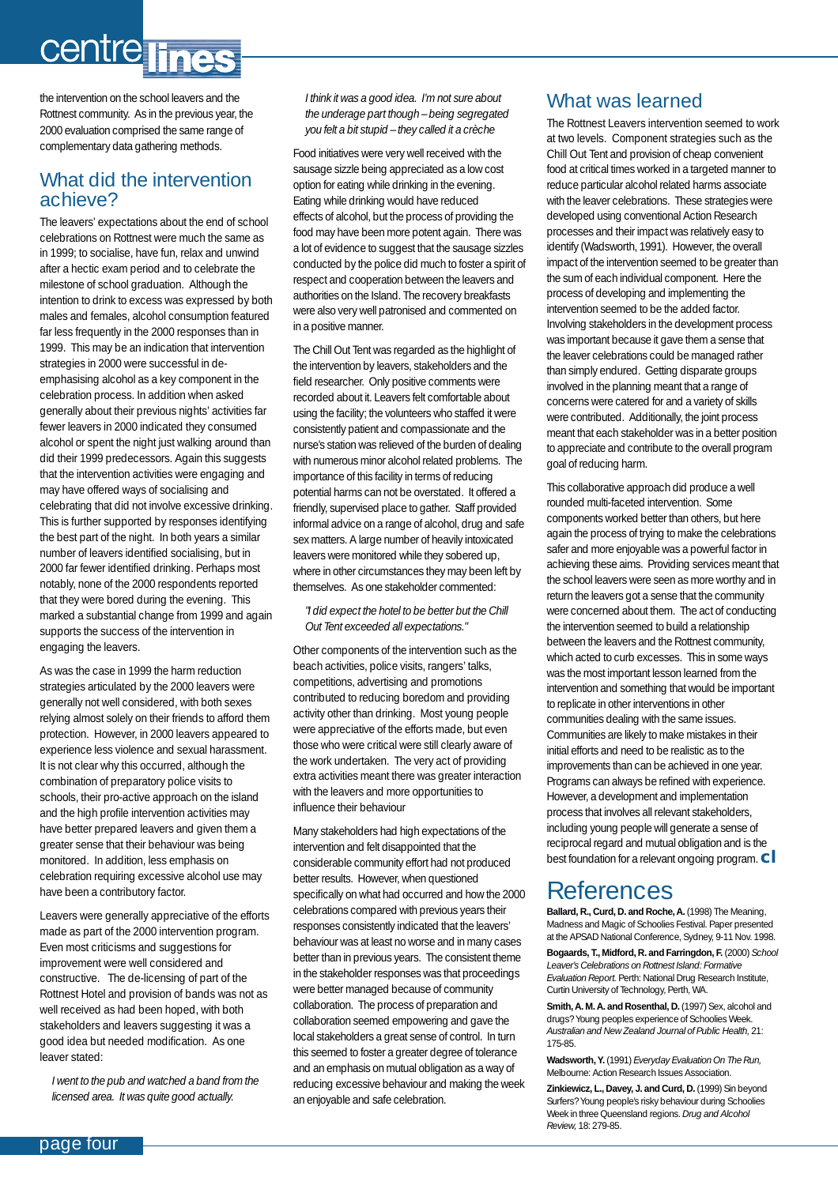# centre lines

the intervention on the school leavers and the Rottnest community. As in the previous year, the 2000 evaluation comprised the same range of complementary data gathering methods.

### What did the intervention achieve?

The leavers' expectations about the end of school celebrations on Rottnest were much the same as in 1999; to socialise, have fun, relax and unwind after a hectic exam period and to celebrate the milestone of school graduation. Although the intention to drink to excess was expressed by both males and females, alcohol consumption featured far less frequently in the 2000 responses than in 1999. This may be an indication that intervention strategies in 2000 were successful in deemphasising alcohol as a key component in the celebration process. In addition when asked generally about their previous nights' activities far fewer leavers in 2000 indicated they consumed alcohol or spent the night just walking around than did their 1999 predecessors. Again this suggests that the intervention activities were engaging and may have offered ways of socialising and celebrating that did not involve excessive drinking. This is further supported by responses identifying the best part of the night. In both years a similar number of leavers identified socialising, but in 2000 far fewer identified drinking. Perhaps most notably, none of the 2000 respondents reported that they were bored during the evening. This marked a substantial change from 1999 and again supports the success of the intervention in engaging the leavers.

As was the case in 1999 the harm reduction strategies articulated by the 2000 leavers were generally not well considered, with both sexes relying almost solely on their friends to afford them protection. However, in 2000 leavers appeared to experience less violence and sexual harassment. It is not clear why this occurred, although the combination of preparatory police visits to schools, their pro-active approach on the island and the high profile intervention activities may have better prepared leavers and given them a greater sense that their behaviour was being monitored. In addition, less emphasis on celebration requiring excessive alcohol use may have been a contributory factor.

Leavers were generally appreciative of the efforts made as part of the 2000 intervention program. Even most criticisms and suggestions for improvement were well considered and constructive. The de-licensing of part of the Rottnest Hotel and provision of bands was not as well received as had been hoped, with both stakeholders and leavers suggesting it was a good idea but needed modification. As one leaver stated:

*I went to the pub and watched a band from the licensed area. It was quite good actually.* 

*I think it was a good idea. I'm not sure about the underage part though – being segregated you felt a bit stupid – they called it a crèche* 

Food initiatives were very well received with the sausage sizzle being appreciated as a low cost option for eating while drinking in the evening. Eating while drinking would have reduced effects of alcohol, but the process of providing the food may have been more potent again. There was a lot of evidence to suggest that the sausage sizzles conducted by the police did much to foster a spirit of respect and cooperation between the leavers and authorities on the Island. The recovery breakfasts were also very well patronised and commented on in a positive manner.

The Chill Out Tent was regarded as the highlight of the intervention by leavers, stakeholders and the field researcher. Only positive comments were recorded about it. Leavers felt comfortable about using the facility; the volunteers who staffed it were consistently patient and compassionate and the nurse's station was relieved of the burden of dealing with numerous minor alcohol related problems. The importance of this facility in terms of reducing potential harms can not be overstated. It offered a friendly, supervised place to gather. Staff provided informal advice on a range of alcohol, drug and safe sex matters. A large number of heavily intoxicated leavers were monitored while they sobered up, where in other circumstances they may been left by themselves. As one stakeholder commented:

*"I did expect the hotel to be better but the Chill Out Tent exceeded all expectations."*

Other components of the intervention such as the beach activities, police visits, rangers' talks, competitions, advertising and promotions contributed to reducing boredom and providing activity other than drinking. Most young people were appreciative of the efforts made, but even those who were critical were still clearly aware of the work undertaken. The very act of providing extra activities meant there was greater interaction with the leavers and more opportunities to influence their behaviour

Many stakeholders had high expectations of the intervention and felt disappointed that the considerable community effort had not produced better results. However, when questioned specifically on what had occurred and how the 2000 celebrations compared with previous years their responses consistently indicated that the leavers' behaviour was at least no worse and in many cases better than in previous years. The consistent theme in the stakeholder responses was that proceedings were better managed because of community collaboration. The process of preparation and collaboration seemed empowering and gave the local stakeholders a great sense of control. In turn this seemed to foster a greater degree of tolerance and an emphasis on mutual obligation as a way of reducing excessive behaviour and making the week an enjoyable and safe celebration.

### What was learned

The Rottnest Leavers intervention seemed to work at two levels. Component strategies such as the Chill Out Tent and provision of cheap convenient food at critical times worked in a targeted manner to reduce particular alcohol related harms associate with the leaver celebrations. These strategies were developed using conventional Action Research processes and their impact was relatively easy to identify (Wadsworth, 1991). However, the overall impact of the intervention seemed to be greater than the sum of each individual component. Here the process of developing and implementing the intervention seemed to be the added factor. Involving stakeholders in the development process was important because it gave them a sense that the leaver celebrations could be managed rather than simply endured. Getting disparate groups involved in the planning meant that a range of concerns were catered for and a variety of skills were contributed. Additionally, the joint process meant that each stakeholder was in a better position to appreciate and contribute to the overall program goal of reducing harm.

This collaborative approach did produce a well rounded multi-faceted intervention. Some components worked better than others, but here again the process of trying to make the celebrations safer and more enjoyable was a powerful factor in achieving these aims. Providing services meant that the school leavers were seen as more worthy and in return the leavers got a sense that the community were concerned about them. The act of conducting the intervention seemed to build a relationship between the leavers and the Rottnest community, which acted to curb excesses. This in some ways was the most important lesson learned from the intervention and something that would be important to replicate in other interventions in other communities dealing with the same issues. Communities are likely to make mistakes in their initial efforts and need to be realistic as to the improvements than can be achieved in one year. Programs can always be refined with experience. However, a development and implementation process that involves all relevant stakeholders, including young people will generate a sense of reciprocal regard and mutual obligation and is the best foundation for a relevant ongoing program.**cl**

## References

**Ballard, R., Curd, D. and Roche, A.** (1998) The Meaning, Madness and Magic of Schoolies Festival. Paper presented at the APSAD National Conference, Sydney, 9-11 Nov. 1998.

**Bogaards, T., Midford, R. and Farringdon, F.** (2000) *School Leaver's Celebrations on Rottnest Island: Formative Evaluation Report.* Perth: National Drug Research Institute, Curtin University of Technology, Perth, WA.

**Smith, A. M. A. and Rosenthal, D.** (1997) Sex, alcohol and drugs? Young peoples experience of Schoolies Week. *Australian and New Zealand Journal of Public Health,* 21: 175-85.

**Wadsworth, Y.** (1991) *Everyday Evaluation On The Run,* Melbourne: Action Research Issues Association.

**Zinkiewicz, L., Davey, J. and Curd, D.** (1999) Sin beyond Surfers? Young people's risky behaviour during Schoolies Week in three Queensland regions. *Drug and Alcohol Review,* 18: 279-85.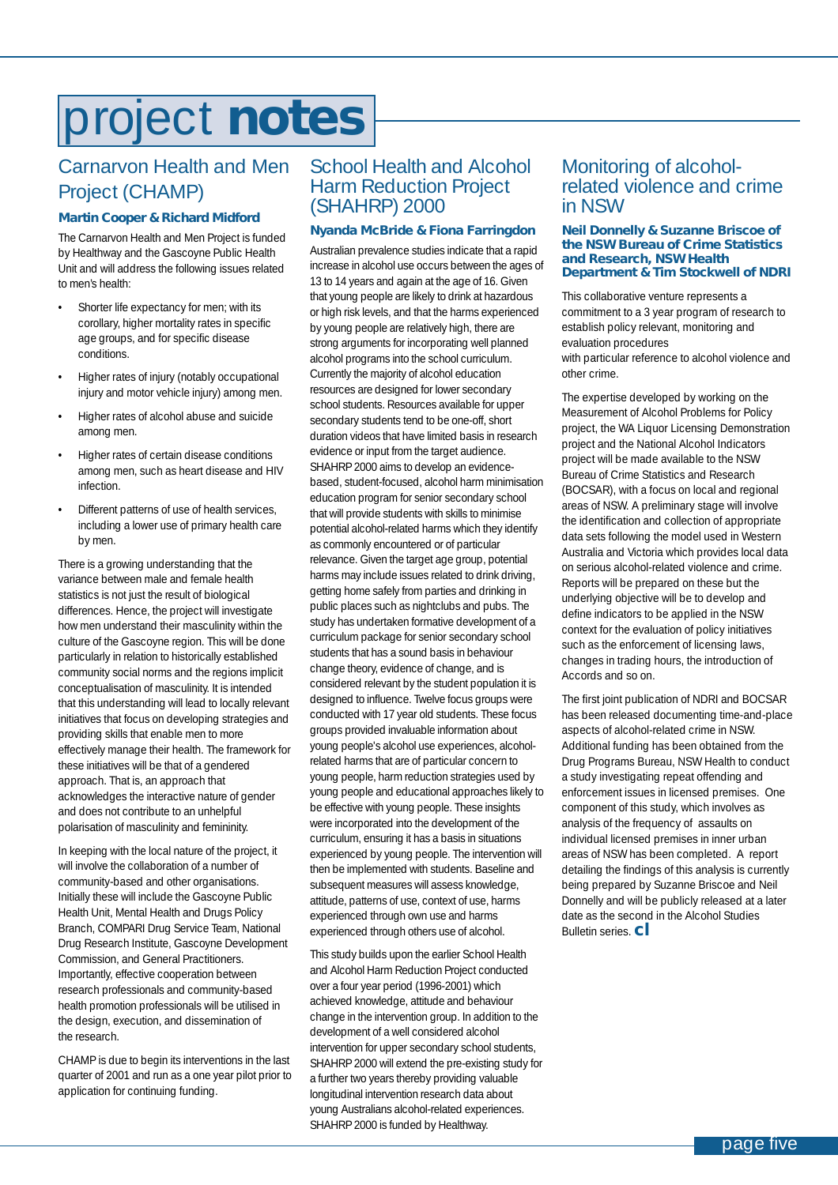# <span id="page-4-0"></span>project **notes**

### Carnarvon Health and Men Project (CHAMP)

#### *Martin Cooper & Richard Midford*

The Carnarvon Health and Men Project is funded by Healthway and the Gascoyne Public Health Unit and will address the following issues related to men's health:

- Shorter life expectancy for men; with its corollary, higher mortality rates in specific age groups, and for specific disease conditions.
- Higher rates of injury (notably occupational injury and motor vehicle injury) among men.
- Higher rates of alcohol abuse and suicide among men.
- Higher rates of certain disease conditions among men, such as heart disease and HIV infection.
- Different patterns of use of health services, including a lower use of primary health care by men.

There is a growing understanding that the variance between male and female health statistics is not just the result of biological differences. Hence, the project will investigate how men understand their masculinity within the culture of the Gascoyne region. This will be done particularly in relation to historically established community social norms and the regions implicit conceptualisation of masculinity. It is intended that this understanding will lead to locally relevant initiatives that focus on developing strategies and providing skills that enable men to more effectively manage their health. The framework for these initiatives will be that of a gendered approach. That is, an approach that acknowledges the interactive nature of gender and does not contribute to an unhelpful polarisation of masculinity and femininity.

In keeping with the local nature of the project, it will involve the collaboration of a number of community-based and other organisations. Initially these will include the Gascoyne Public Health Unit, Mental Health and Drugs Policy Branch, COMPARI Drug Service Team, National Drug Research Institute, Gascoyne Development Commission, and General Practitioners. Importantly, effective cooperation between research professionals and community-based health promotion professionals will be utilised in the design, execution, and dissemination of the research.

CHAMP is due to begin its interventions in the last quarter of 2001 and run as a one year pilot prior to application for continuing funding.

### School Health and Alcohol Harm Reduction Project (SHAHRP) 2000

#### *Nyanda McBride & Fiona Farringdon*

Australian prevalence studies indicate that a rapid increase in alcohol use occurs between the ages of 13 to 14 years and again at the age of 16. Given that young people are likely to drink at hazardous or high risk levels, and that the harms experienced by young people are relatively high, there are strong arguments for incorporating well planned alcohol programs into the school curriculum. Currently the majority of alcohol education resources are designed for lower secondary school students. Resources available for upper secondary students tend to be one-off, short duration videos that have limited basis in research evidence or input from the target audience. SHAHRP 2000 aims to develop an evidencebased, student-focused, alcohol harm minimisation education program for senior secondary school that will provide students with skills to minimise potential alcohol-related harms which they identify as commonly encountered or of particular relevance. Given the target age group, potential harms may include issues related to drink driving, getting home safely from parties and drinking in public places such as nightclubs and pubs. The study has undertaken formative development of a curriculum package for senior secondary school students that has a sound basis in behaviour change theory, evidence of change, and is considered relevant by the student population it is designed to influence. Twelve focus groups were conducted with 17 year old students. These focus groups provided invaluable information about young people's alcohol use experiences, alcoholrelated harms that are of particular concern to young people, harm reduction strategies used by young people and educational approaches likely to be effective with young people. These insights were incorporated into the development of the curriculum, ensuring it has a basis in situations experienced by young people. The intervention will then be implemented with students. Baseline and subsequent measures will assess knowledge, attitude, patterns of use, context of use, harms experienced through own use and harms experienced through others use of alcohol.

This study builds upon the earlier School Health and Alcohol Harm Reduction Project conducted over a four year period (1996-2001) which achieved knowledge, attitude and behaviour change in the intervention group. In addition to the development of a well considered alcohol intervention for upper secondary school students, SHAHRP 2000 will extend the pre-existing study for a further two years thereby providing valuable longitudinal intervention research data about young Australians alcohol-related experiences. SHAHRP 2000 is funded by Healthway.

### Monitoring of alcoholrelated violence and crime in NSW

#### *Neil Donnelly & Suzanne Briscoe of the NSW Bureau of Crime Statistics and Research, NSW Health Department & Tim Stockwell of NDRI*

This collaborative venture represents a commitment to a 3 year program of research to establish policy relevant, monitoring and evaluation procedures with particular reference to alcohol violence and other crime.

The expertise developed by working on the Measurement of Alcohol Problems for Policy project, the WA Liquor Licensing Demonstration project and the National Alcohol Indicators project will be made available to the NSW Bureau of Crime Statistics and Research (BOCSAR), with a focus on local and regional areas of NSW. A preliminary stage will involve the identification and collection of appropriate data sets following the model used in Western Australia and Victoria which provides local data on serious alcohol-related violence and crime. Reports will be prepared on these but the underlying objective will be to develop and define indicators to be applied in the NSW context for the evaluation of policy initiatives such as the enforcement of licensing laws, changes in trading hours, the introduction of Accords and so on.

The first joint publication of NDRI and BOCSAR has been released documenting time-and-place aspects of alcohol-related crime in NSW. Additional funding has been obtained from the Drug Programs Bureau, NSW Health to conduct a study investigating repeat offending and enforcement issues in licensed premises. One component of this study, which involves as analysis of the frequency of assaults on individual licensed premises in inner urban areas of NSW has been completed. A report detailing the findings of this analysis is currently being prepared by Suzanne Briscoe and Neil Donnelly and will be publicly released at a later date as the second in the Alcohol Studies Bulletin series. **cl**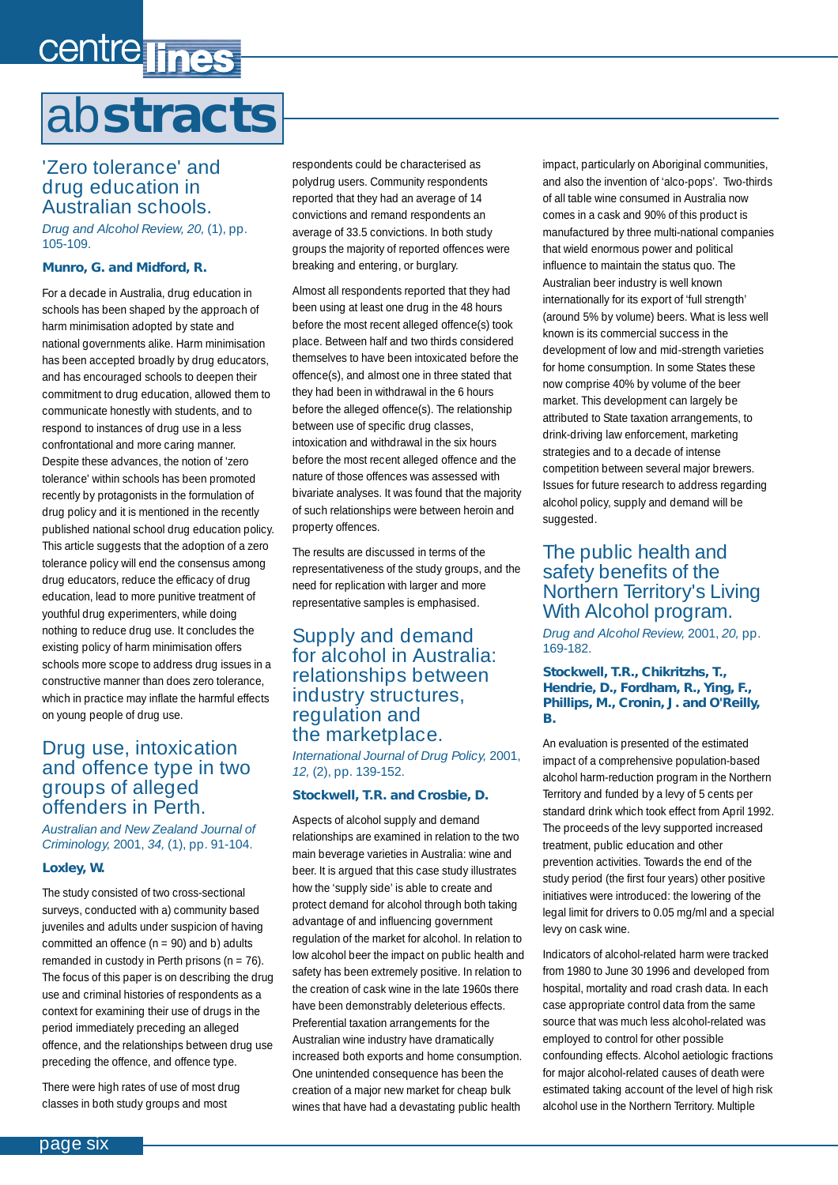# <span id="page-5-0"></span>centre lines ab**stracts**

### 'Zero tolerance' and drug education in Australian schools.

*Drug and Alcohol Review, 20,* (1), pp. 105-109.

### *Munro, G. and Midford, R.*

For a decade in Australia, drug education in schools has been shaped by the approach of harm minimisation adopted by state and national governments alike. Harm minimisation has been accepted broadly by drug educators, and has encouraged schools to deepen their commitment to drug education, allowed them to communicate honestly with students, and to respond to instances of drug use in a less confrontational and more caring manner. Despite these advances, the notion of 'zero tolerance' within schools has been promoted recently by protagonists in the formulation of drug policy and it is mentioned in the recently published national school drug education policy. This article suggests that the adoption of a zero tolerance policy will end the consensus among drug educators, reduce the efficacy of drug education, lead to more punitive treatment of youthful drug experimenters, while doing nothing to reduce drug use. It concludes the existing policy of harm minimisation offers schools more scope to address drug issues in a constructive manner than does zero tolerance, which in practice may inflate the harmful effects on young people of drug use.

### Drug use, intoxication and offence type in two groups of alleged offenders in Perth.

*Australian and New Zealand Journal of Criminology,* 2001, *34,* (1), pp. 91-104.

#### *Loxley, W.*

The study consisted of two cross-sectional surveys, conducted with a) community based juveniles and adults under suspicion of having committed an offence  $(n = 90)$  and b) adults remanded in custody in Perth prisons  $(n = 76)$ . The focus of this paper is on describing the drug use and criminal histories of respondents as a context for examining their use of drugs in the period immediately preceding an alleged offence, and the relationships between drug use preceding the offence, and offence type.

There were high rates of use of most drug classes in both study groups and most

respondents could be characterised as polydrug users. Community respondents reported that they had an average of 14 convictions and remand respondents an average of 33.5 convictions. In both study groups the majority of reported offences were breaking and entering, or burglary.

Almost all respondents reported that they had been using at least one drug in the 48 hours before the most recent alleged offence(s) took place. Between half and two thirds considered themselves to have been intoxicated before the offence(s), and almost one in three stated that they had been in withdrawal in the 6 hours before the alleged offence(s). The relationship between use of specific drug classes, intoxication and withdrawal in the six hours before the most recent alleged offence and the nature of those offences was assessed with bivariate analyses. It was found that the majority of such relationships were between heroin and property offences.

The results are discussed in terms of the representativeness of the study groups, and the need for replication with larger and more representative samples is emphasised.

### Supply and demand for alcohol in Australia: relationships between industry structures, regulation and the marketplace.

*International Journal of Drug Policy,* 2001, *12,* (2), pp. 139-152.

#### *Stockwell, T.R. and Crosbie, D.*

Aspects of alcohol supply and demand relationships are examined in relation to the two main beverage varieties in Australia: wine and beer. It is argued that this case study illustrates how the 'supply side' is able to create and protect demand for alcohol through both taking advantage of and influencing government regulation of the market for alcohol. In relation to low alcohol beer the impact on public health and safety has been extremely positive. In relation to the creation of cask wine in the late 1960s there have been demonstrably deleterious effects. Preferential taxation arrangements for the Australian wine industry have dramatically increased both exports and home consumption. One unintended consequence has been the creation of a major new market for cheap bulk wines that have had a devastating public health

impact, particularly on Aboriginal communities, and also the invention of 'alco-pops'. Two-thirds of all table wine consumed in Australia now comes in a cask and 90% of this product is manufactured by three multi-national companies that wield enormous power and political influence to maintain the status quo. The Australian beer industry is well known internationally for its export of 'full strength' (around 5% by volume) beers. What is less well known is its commercial success in the development of low and mid-strength varieties for home consumption. In some States these now comprise 40% by volume of the beer market. This development can largely be attributed to State taxation arrangements, to drink-driving law enforcement, marketing strategies and to a decade of intense competition between several major brewers. Issues for future research to address regarding alcohol policy, supply and demand will be suggested.

### The public health and safety benefits of the Northern Territory's Living With Alcohol program.

*Drug and Alcohol Review,* 2001, *20,* pp. 169-182.

#### *Stockwell, T.R., Chikritzhs, T., Hendrie, D., Fordham, R., Ying, F., Phillips, M., Cronin, J. and O'Reilly, B.*

An evaluation is presented of the estimated impact of a comprehensive population-based alcohol harm-reduction program in the Northern Territory and funded by a levy of 5 cents per standard drink which took effect from April 1992. The proceeds of the levy supported increased treatment, public education and other prevention activities. Towards the end of the study period (the first four years) other positive initiatives were introduced: the lowering of the legal limit for drivers to 0.05 mg/ml and a special levy on cask wine.

Indicators of alcohol-related harm were tracked from 1980 to June 30 1996 and developed from hospital, mortality and road crash data. In each case appropriate control data from the same source that was much less alcohol-related was employed to control for other possible confounding effects. Alcohol aetiologic fractions for major alcohol-related causes of death were estimated taking account of the level of high risk alcohol use in the Northern Territory. Multiple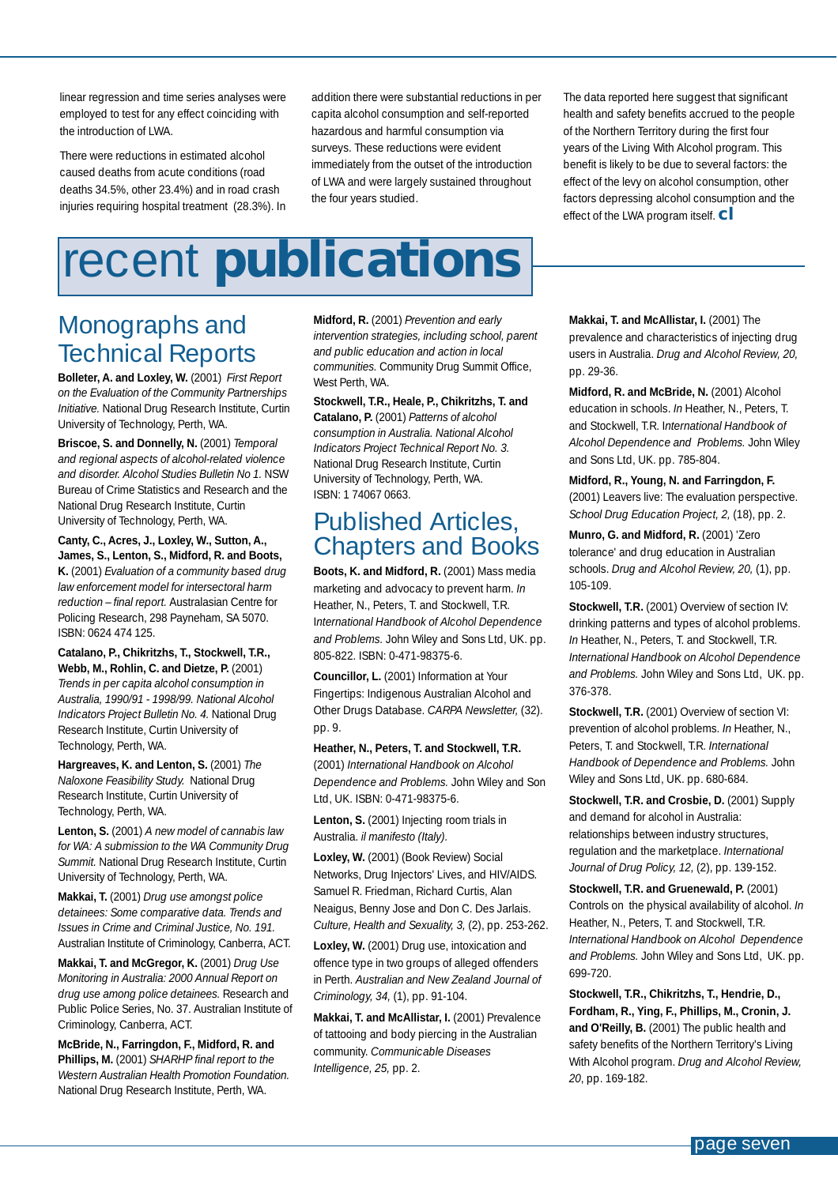<span id="page-6-0"></span>linear regression and time series analyses were employed to test for any effect coinciding with the introduction of LWA.

There were reductions in estimated alcohol caused deaths from acute conditions (road deaths 34.5%, other 23.4%) and in road crash injuries requiring hospital treatment (28.3%). In addition there were substantial reductions in per capita alcohol consumption and self-reported hazardous and harmful consumption via surveys. These reductions were evident immediately from the outset of the introduction of LWA and were largely sustained throughout the four years studied.

The data reported here suggest that significant health and safety benefits accrued to the people of the Northern Territory during the first four years of the Living With Alcohol program. This benefit is likely to be due to several factors: the effect of the levy on alcohol consumption, other factors depressing alcohol consumption and the effect of the LWA program itself. **cl**

# recent **publications**

**Bolleter, A. and Loxley, W.** (2001) *First Report on the Evaluation of the Community Partnerships Initiative.* National Drug Research Institute, Curtin University of Technology, Perth, WA.

**Briscoe, S. and Donnelly, N.** (2001) *Temporal and regional aspects of alcohol-related violence and disorder. Alcohol Studies Bulletin No 1.* NSW Bureau of Crime Statistics and Research and the National Drug Research Institute, Curtin University of Technology, Perth, WA.

**Canty, C., Acres, J., Loxley, W., Sutton, A., James, S., Lenton, S., Midford, R. and Boots, K.** (2001) *Evaluation of a community based drug law enforcement model for intersectoral harm reduction – final report.* Australasian Centre for Policing Research, 298 Payneham, SA 5070.

**Catalano, P., Chikritzhs, T., Stockwell, T.R., Webb, M., Rohlin, C. and Dietze, P.** (2001) *Trends in per capita alcohol consumption in Australia, 1990/91 - 1998/99. National Alcohol Indicators Project Bulletin No. 4.* National Drug Research Institute, Curtin University of

**Hargreaves, K. and Lenton, S.** (2001) *The Naloxone Feasibility Study.* National Drug Research Institute, Curtin University of

**Lenton, S.** (2001) *A new model of cannabis law for WA: A submission to the WA Community Drug Summit.* National Drug Research Institute, Curtin

**McBride, N., Farringdon, F., Midford, R. and Phillips, M.** (2001) *SHARHP final report to the Western Australian Health Promotion Foundation.* National Drug Research Institute, Perth, WA.

University of Technology, Perth, WA. **Makkai, T.** (2001) *Drug use amongst police detainees: Some comparative data. Trends and Issues in Crime and Criminal Justice, No. 191.* Australian Institute of Criminology, Canberra, ACT. **Makkai, T. and McGregor, K.** (2001) *Drug Use Monitoring in Australia: 2000 Annual Report on drug use among police detainees.* Research and Public Police Series, No. 37. Australian Institute of

Criminology, Canberra, ACT.

ISBN: 0624 474 125.

Technology, Perth, WA.

Technology, Perth, WA.

## Monographs and Technical Reports

**Midford, R.** (2001) *Prevention and early intervention strategies, including school, parent and public education and action in local communities.* Community Drug Summit Office, West Perth, WA.

#### **Stockwell, T.R., Heale, P., Chikritzhs, T. and**

**Catalano, P.** (2001) *Patterns of alcohol consumption in Australia. National Alcohol Indicators Project Technical Report No. 3.* National Drug Research Institute, Curtin University of Technology, Perth, WA. ISBN: 1 74067 0663.

## Published Articles, Chapters and Books

Boots, K. and Midford, R. (2001) Mass media marketing and advocacy to prevent harm. *In* Heather, N., Peters, T. and Stockwell, T.R. I*nternational Handbook of Alcohol Dependence and Problems.* John Wiley and Sons Ltd, UK. pp. 805-822. ISBN: 0-471-98375-6.

**Councillor, L.** (2001) Information at Your Fingertips: Indigenous Australian Alcohol and Other Drugs Database. *CARPA Newsletter,* (32). pp. 9.

#### **Heather, N., Peters, T. and Stockwell, T.R.**

(2001) *International Handbook on Alcohol Dependence and Problems.* John Wiley and Son Ltd, UK. ISBN: 0-471-98375-6.

Lenton, S. (2001) Injecting room trials in Australia. *il manifesto (Italy).*

Loxley, W. (2001) (Book Review) Social Networks, Drug Injectors' Lives, and HIV/AIDS. Samuel R. Friedman, Richard Curtis, Alan Neaigus, Benny Jose and Don C. Des Jarlais. *Culture, Health and Sexuality, 3,* (2), pp. 253-262.

Loxley, W. (2001) Drug use, intoxication and offence type in two groups of alleged offenders in Perth. *Australian and New Zealand Journal of Criminology, 34,* (1), pp. 91-104.

**Makkai, T. and McAllistar, I.** (2001) Prevalence of tattooing and body piercing in the Australian community. *Communicable Diseases Intelligence, 25,* pp. 2.

**Makkai, T. and McAllistar, I.** (2001) The prevalence and characteristics of injecting drug users in Australia. *Drug and Alcohol Review, 20,* pp. 29-36.

**Midford, R. and McBride, N.** (2001) Alcohol education in schools. *In* Heather, N., Peters, T. and Stockwell, T.R. I*nternational Handbook of Alcohol Dependence and Problems.* John Wiley and Sons Ltd, UK. pp. 785-804.

**Midford, R., Young, N. and Farringdon, F.** (2001) Leavers live: The evaluation perspective. *School Drug Education Project, 2,* (18), pp. 2.

**Munro, G. and Midford, R.** (2001) 'Zero tolerance' and drug education in Australian schools. *Drug and Alcohol Review, 20,* (1), pp. 105-109.

**Stockwell, T.R.** (2001) Overview of section IV: drinking patterns and types of alcohol problems. *In* Heather, N., Peters, T. and Stockwell, T.R. *International Handbook on Alcohol Dependence and Problems.* John Wiley and Sons Ltd, UK. pp. 376-378.

**Stockwell, T.R.** (2001) Overview of section VI: prevention of alcohol problems. *In* Heather, N., Peters, T. and Stockwell, T.R. *International Handbook of Dependence and Problems.* John Wiley and Sons Ltd, UK. pp. 680-684.

**Stockwell, T.R. and Crosbie, D. (2001) Supply** and demand for alcohol in Australia: relationships between industry structures, regulation and the marketplace. *International Journal of Drug Policy, 12,* (2), pp. 139-152.

**Stockwell, T.R. and Gruenewald, P. (2001)** Controls on the physical availability of alcohol. *In* Heather, N., Peters, T. and Stockwell, T.R. *International Handbook on Alcohol Dependence and Problems.* John Wiley and Sons Ltd, UK. pp. 699-720.

**Stockwell, T.R., Chikritzhs, T., Hendrie, D., Fordham, R., Ying, F., Phillips, M., Cronin, J.** and O'Reilly, B. (2001) The public health and safety benefits of the Northern Territory's Living With Alcohol program. *Drug and Alcohol Review, 20*, pp. 169-182.